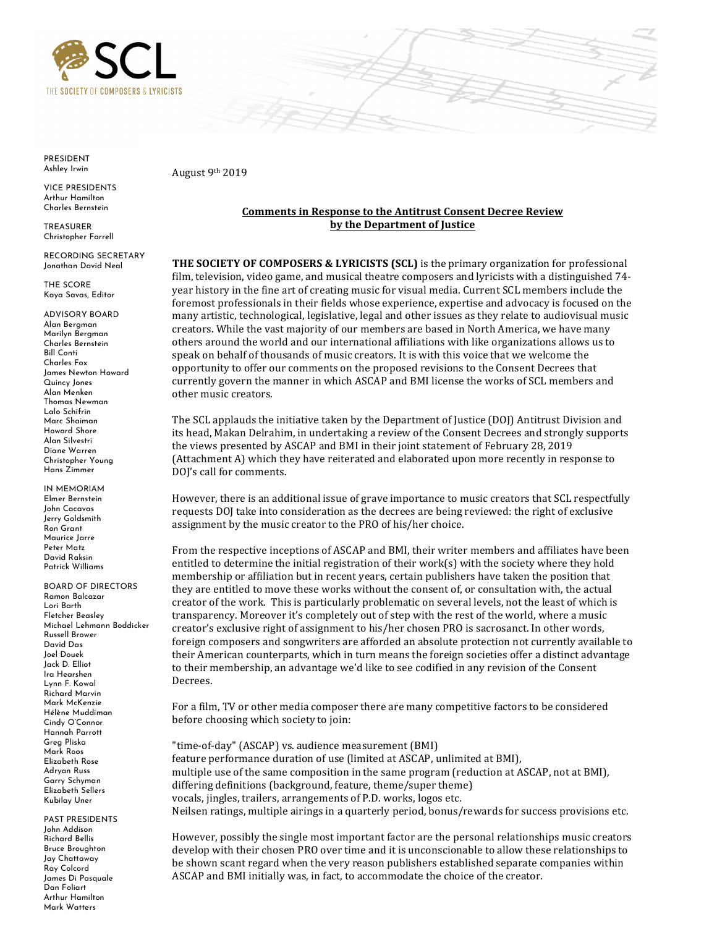



PRESIDENT Ashley Irwin

VICE PRESIDENTS Arthur Hamilton Charles Bernstein

TREASURER Christopher Farrell

 Jonathan David Neal RECORDING SECRETARY

 Kaya Savas, Editor THE SCORE

 Alan Bergman James Newton Howard ADVISORY BOARD Marilyn Bergman Charles Bernstein Bill Conti Charles Fox Quincy Jones Alan Menken Thomas Newman Lalo Schifrin Marc Shaiman Howard Shore Alan Silvestri Diane Warren Christopher Young Hans Zimmer

IN MEMORIAM Elmer Bernstein John Cacavas Jerry Goldsmith Ron Grant Maurice Jarre Peter Matz David Raksin Patrick Williams

 BOARD OF DIRECTORS Michael Lehmann Boddicker Jack D. Elliot Ramon Balcazar Lori Barth Fletcher Beasley Russell Brower David Das Joel Douek Ira Hearshen Lynn F. Kowal Richard Marvin Mark McKenzie Hélène Muddiman Cindy O'Connor Hannah Parrott Greg Pliska Mark Roos Elizabeth Rose Adryan Russ Garry Schyman Elizabeth Sellers Kubilay Uner

 James Di Pasquale PAST PRESIDENTS John Addison Richard Bellis Bruce Broughton Jay Chattaway Ray Colcord Dan Foliart Arthur Hamilton Mark Watters

 August 9th 2019

## **Comments in Response to the Antitrust Consent Decree Review by the Department of Justice**

**THE SOCIETY OF COMPOSERS & LYRICISTS (SCL)** is the primary organization for professional film, television, video game, and musical theatre composers and lyricists with a distinguished 74year history in the fine art of creating music for visual media. Current SCL members include the foremost professionals in their fields whose experience, expertise and advocacy is focused on the many artistic, technological, legislative, legal and other issues as they relate to audiovisual music creators. While the vast majority of our members are based in North America, we have many others around the world and our international affiliations with like organizations allows us to speak on behalf of thousands of music creators. It is with this voice that we welcome the opportunity to offer our comments on the proposed revisions to the Consent Decrees that currently govern the manner in which ASCAP and BMI license the works of SCL members and other music creators.

The SCL applauds the initiative taken by the Department of Justice (DOJ) Antitrust Division and its head, Makan Delrahim, in undertaking a review of the Consent Decrees and strongly supports the views presented by ASCAP and BMI in their joint statement of February 28, 2019 (Attachment A) which they have reiterated and elaborated upon more recently in response to DOJ's call for comments.

However, there is an additional issue of grave importance to music creators that SCL respectfully requests DOJ take into consideration as the decrees are being reviewed: the right of exclusive assignment by the music creator to the PRO of his/her choice.

From the respective inceptions of ASCAP and BMI, their writer members and affiliates have been entitled to determine the initial registration of their work(s) with the society where they hold membership or affiliation but in recent years, certain publishers have taken the position that they are entitled to move these works without the consent of, or consultation with, the actual creator of the work. This is particularly problematic on several levels, not the least of which is transparency. Moreover it's completely out of step with the rest of the world, where a music creator's exclusive right of assignment to his/her chosen PRO is sacrosanct. In other words, foreign composers and songwriters are afforded an absolute protection not currently available to their American counterparts, which in turn means the foreign societies offer a distinct advantage to their membership, an advantage we'd like to see codified in any revision of the Consent Decrees.

 For a film, TV or other media composer there are many competitive factors to be considered before choosing which society to join:

 "time-of-day" (ASCAP) vs. audience measurement (BMI) feature performance duration of use (limited at ASCAP, unlimited at BMI), multiple use of the same composition in the same program (reduction at ASCAP, not at BMI), differing definitions (background, feature, theme/super theme) vocals, jingles, trailers, arrangements of P.D. works, logos etc. Neilsen ratings, multiple airings in a quarterly period, bonus/rewards for success provisions etc.

 However, possibly the single most important factor are the personal relationships music creators develop with their chosen PRO over time and it is unconscionable to allow these relationships to be shown scant regard when the very reason publishers established separate companies within ASCAP and BMI initially was, in fact, to accommodate the choice of the creator.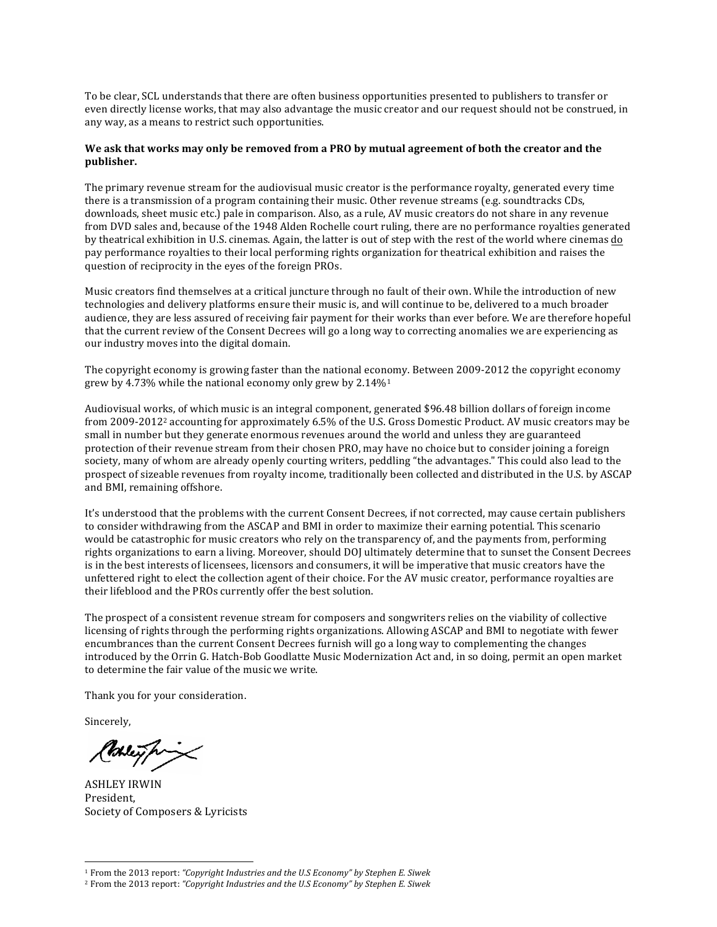To be clear, SCL understands that there are often business opportunities presented to publishers to transfer or even directly license works, that may also advantage the music creator and our request should not be construed, in any way, as a means to restrict such opportunities.

## We ask that works may only be removed from a PRO by mutual agreement of both the creator and the **publisher.**

 The primary revenue stream for the audiovisual music creator is the performance royalty, generated every time there is a transmission of a program containing their music. Other revenue streams (e.g. soundtracks CDs, downloads, sheet music etc.) pale in comparison. Also, as a rule, AV music creators do not share in any revenue from DVD sales and, because of the 1948 Alden Rochelle court ruling, there are no performance royalties generated by theatrical exhibition in U.S. cinemas. Again, the latter is out of step with the rest of the world where cinemas <u>do</u> pay performance royalties to their local performing rights organization for theatrical exhibition and raises the question of reciprocity in the eyes of the foreign PROs.

 Music creators find themselves at a critical juncture through no fault of their own. While the introduction of new technologies and delivery platforms ensure their music is, and will continue to be, delivered to a much broader audience, they are less assured of receiving fair payment for their works than ever before. We are therefore hopeful that the current review of the Consent Decrees will go a long way to correcting anomalies we are experiencing as our industry moves into the digital domain.

The copyright economy is growing faster than the national economy. Between 2009-2012 the copyright economy grew by 4.73% while the national economy only grew by  $2.14\%$ <sup>1</sup>

 Audiovisual works, of which music is an integral component, generated \$96.48 billion dollars of foreign income from 2009-2012<sup>2</sup> accounting for approximately 6.5% of the U.S. Gross Domestic Product. AV music creators may be small in number but they generate enormous revenues around the world and unless they are guaranteed protection of their revenue stream from their chosen PRO, may have no choice but to consider joining a foreign society, many of whom are already openly courting writers, peddling "the advantages." This could also lead to the prospect of sizeable revenues from royalty income, traditionally been collected and distributed in the U.S. by ASCAP and BMI, remaining offshore.

It's understood that the problems with the current Consent Decrees, if not corrected, may cause certain publishers to consider withdrawing from the ASCAP and BMI in order to maximize their earning potential. This scenario would be catastrophic for music creators who rely on the transparency of, and the payments from, performing rights organizations to earn a living. Moreover, should DOJ ultimately determine that to sunset the Consent Decrees is in the best interests of licensees, licensors and consumers, it will be imperative that music creators have the unfettered right to elect the collection agent of their choice. For the AV music creator, performance royalties are their lifeblood and the PROs currently offer the best solution.

The prospect of a consistent revenue stream for composers and songwriters relies on the viability of collective licensing of rights through the performing rights organizations. Allowing ASCAP and BMI to negotiate with fewer encumbrances than the current Consent Decrees furnish will go a long way to complementing the changes introduced by the Orrin G. Hatch-Bob Goodlatte Music Modernization Act and, in so doing, permit an open market to determine the fair value of the music we write.

Thank you for your consideration.

Sincerely,

 $\overline{a}$ 

Mey fr

Society of Composers & Lyricists ASHLEY IRWIN President, 

 <sup>1</sup> From the 2013 report: *"Copyright Industries and the U.S Economy" by Stephen E. Siwek*

 <sup>2</sup> From the 2013 report: *"Copyright Industries and the U.S Economy" by Stephen E. Siwek*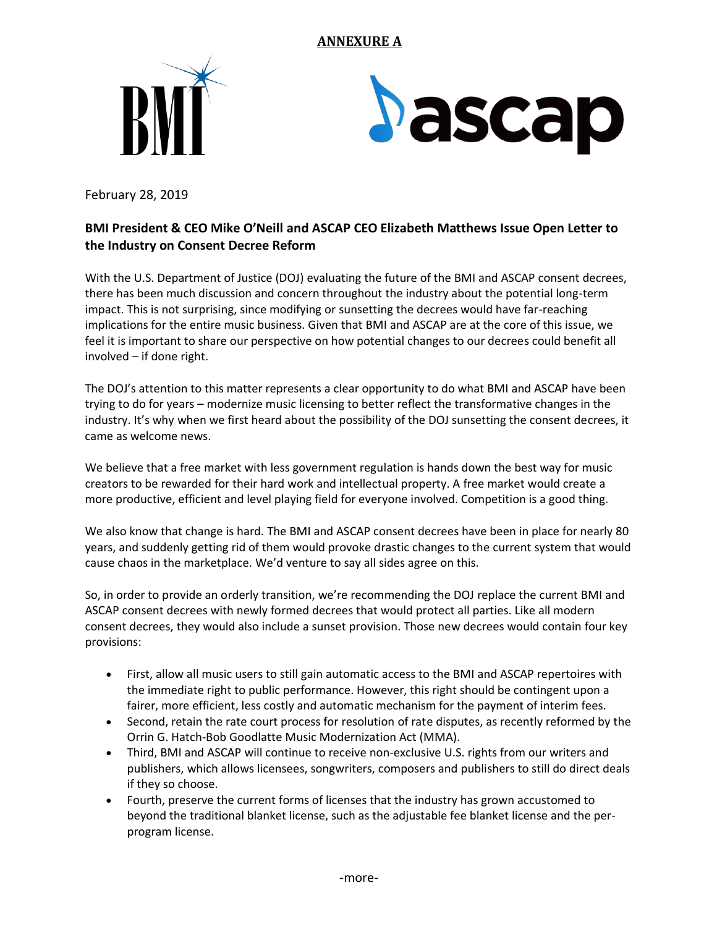## **ANNEXURE A**





February 28, 2019

## **BMI President & CEO Mike O'Neill and ASCAP CEO Elizabeth Matthews Issue Open Letter to the Industry on Consent Decree Reform**

With the U.S. Department of Justice (DOJ) evaluating the future of the BMI and ASCAP consent decrees, there has been much discussion and concern throughout the industry about the potential long-term impact. This is not surprising, since modifying or sunsetting the decrees would have far-reaching implications for the entire music business. Given that BMI and ASCAP are at the core of this issue, we feel it is important to share our perspective on how potential changes to our decrees could benefit all involved – if done right.

 The DOJ's attention to this matter represents a clear opportunity to do what BMI and ASCAP have been trying to do for years – modernize music licensing to better reflect the transformative changes in the industry. It's why when we first heard about the possibility of the DOJ sunsetting the consent decrees, it came as welcome news.

We believe that a free market with less government regulation is hands down the best way for music creators to be rewarded for their hard work and intellectual property. A free market would create a more productive, efficient and level playing field for everyone involved. Competition is a good thing.

We also know that change is hard. The BMI and ASCAP consent decrees have been in place for nearly 80 years, and suddenly getting rid of them would provoke drastic changes to the current system that would cause chaos in the marketplace. We'd venture to say all sides agree on this.

 consent decrees, they would also include a sunset provision. Those new decrees would contain four key So, in order to provide an orderly transition, we're recommending the DOJ replace the current BMI and ASCAP consent decrees with newly formed decrees that would protect all parties. Like all modern provisions:

- • First, allow all music users to still gain automatic access to the BMI and ASCAP repertoires with the immediate right to public performance. However, this right should be contingent upon a fairer, more efficient, less costly and automatic mechanism for the payment of interim fees.
- Second, retain the rate court process for resolution of rate disputes, as recently reformed by the Orrin G. Hatch-Bob Goodlatte Music Modernization Act (MMA).
- Third, BMI and ASCAP will continue to receive non-exclusive U.S. rights from our writers and publishers, which allows licensees, songwriters, composers and publishers to still do direct deals if they so choose.
- Fourth, preserve the current forms of licenses that the industry has grown accustomed to beyond the traditional blanket license, such as the adjustable fee blanket license and the perprogram license.